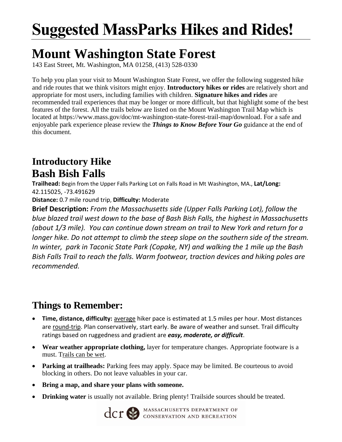## **Suggested MassParks Hikes and Rides!**

## **Mount Washington State Forest**

143 East Street, Mt. Washington, MA 01258, (413) 528-0330

To help you plan your visit to Mount Washington State Forest, we offer the following suggested hike and ride routes that we think visitors might enjoy. **Introductory hikes or rides** are relatively short and appropriate for most users, including families with children. **Signature hikes and rides** are recommended trail experiences that may be longer or more difficult, but that highlight some of the best features of the forest. All the trails below are listed on the Mount Washington Trail Map which is located at https://www.mass.gov/doc/mt-washington-state-forest-trail-map/download. For a safe and enjoyable park experience please review the *Things to Know Before Your Go* guidance at the end of this document.

## **Introductory Hike Bash Bish Falls**

**Trailhead:** Begin from the Upper Falls Parking Lot on Falls Road in Mt Washington, MA., **Lat/Long:** 42.115025, -73.491629

**Distance:** 0.7 mile round trip, **Difficulty:** Moderate

**Brief Description:** *From the Massachusetts side (Upper Falls Parking Lot), follow the blue blazed trail west down to the base of Bash Bish Falls, the highest in Massachusetts (about 1/3 mile). You can continue down stream on trail to New York and return for a longer hike. Do not attempt to climb the steep slope on the southern side of the stream. In winter, park in Taconic State Park (Copake, NY) and walking the 1 mile up the Bash Bish Falls Trail to reach the falls. Warm footwear, traction devices and hiking poles are recommended.*

## **Things to Remember:**

- **Time, distance, difficulty:** average hiker pace is estimated at 1.5 miles per hour. Most distances are round-trip. Plan conservatively, start early. Be aware of weather and sunset. Trail difficulty ratings based on ruggedness and gradient are *easy, moderate, or difficult*.
- **Wear weather appropriate clothing,** layer for temperature changes. Appropriate footware is a must. Trails can be wet.
- **Parking at trailheads:** Parking fees may apply. Space may be limited. Be courteous to avoid blocking in others. Do not leave valuables in your car.
- **Bring a map, and share your plans with someone.**
- **Drinking water** is usually not available. Bring plenty! Trailside sources should be treated.



**CCT SPARTMENT OF CONSERVATION AND RECREATION**